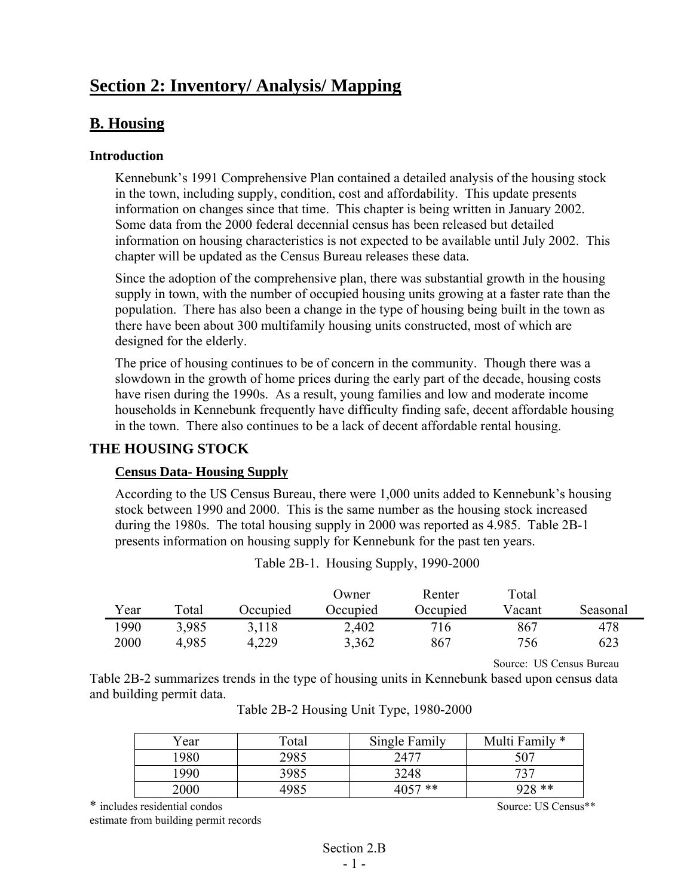# **Section 2: Inventory/ Analysis/ Mapping**

## **B. Housing**

#### **Introduction**

Kennebunk's 1991 Comprehensive Plan contained a detailed analysis of the housing stock in the town, including supply, condition, cost and affordability. This update presents information on changes since that time. This chapter is being written in January 2002. Some data from the 2000 federal decennial census has been released but detailed information on housing characteristics is not expected to be available until July 2002. This chapter will be updated as the Census Bureau releases these data.

Since the adoption of the comprehensive plan, there was substantial growth in the housing supply in town, with the number of occupied housing units growing at a faster rate than the population. There has also been a change in the type of housing being built in the town as there have been about 300 multifamily housing units constructed, most of which are designed for the elderly.

The price of housing continues to be of concern in the community. Though there was a slowdown in the growth of home prices during the early part of the decade, housing costs have risen during the 1990s. As a result, young families and low and moderate income households in Kennebunk frequently have difficulty finding safe, decent affordable housing in the town. There also continues to be a lack of decent affordable rental housing.

#### **THE HOUSING STOCK**

#### **Census Data- Housing Supply**

According to the US Census Bureau, there were 1,000 units added to Kennebunk's housing stock between 1990 and 2000. This is the same number as the housing stock increased during the 1980s. The total housing supply in 2000 was reported as 4.985. Table 2B-1 presents information on housing supply for Kennebunk for the past ten years.

|      |             |          | Owner    | Renter   | Total  |          |
|------|-------------|----------|----------|----------|--------|----------|
| Year | $\tau$ otal | Occupied | Occupied | Occupied | Vacant | Seasonal |
| 1990 | 3,985       | 3.118    | 2,402    | 716      | 867    | 478      |
| 2000 | 4,985       | 4,229    | 3,362    | 867      | 756    | 623      |

Table 2B-1. Housing Supply, 1990-2000

Source: US Census Bureau

Table 2B-2 summarizes trends in the type of housing units in Kennebunk based upon census data and building permit data.

| Year  | Total | Single Family | Multi Family * |
|-------|-------|---------------|----------------|
| 1980. | 2985  | 2477          | 507            |
| 1990  | 3985  | 3248          | 727            |
| 2000  | 1985  | 4057 **       | 928 **         |

|  |  |  | Table 2B-2 Housing Unit Type, 1980-2000 |
|--|--|--|-----------------------------------------|
|--|--|--|-----------------------------------------|

\* includes residential condos Source: US Census\*\* estimate from building permit records

> Section 2<sub>B</sub> - 1 -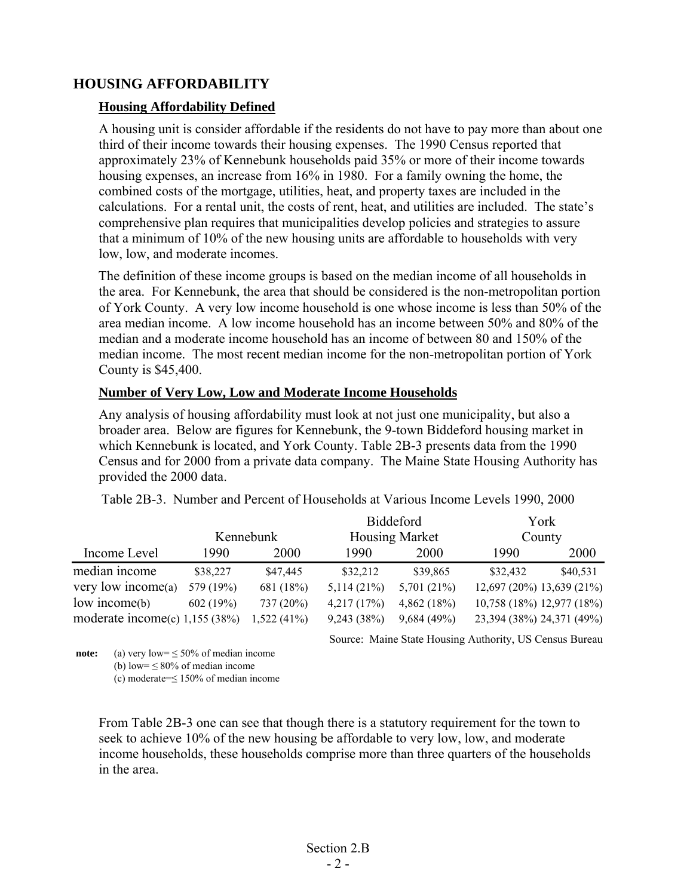#### **HOUSING AFFORDABILITY**

#### **Housing Affordability Defined**

A housing unit is consider affordable if the residents do not have to pay more than about one third of their income towards their housing expenses. The 1990 Census reported that approximately 23% of Kennebunk households paid 35% or more of their income towards housing expenses, an increase from 16% in 1980. For a family owning the home, the combined costs of the mortgage, utilities, heat, and property taxes are included in the calculations. For a rental unit, the costs of rent, heat, and utilities are included. The state's comprehensive plan requires that municipalities develop policies and strategies to assure that a minimum of 10% of the new housing units are affordable to households with very low, low, and moderate incomes.

The definition of these income groups is based on the median income of all households in the area. For Kennebunk, the area that should be considered is the non-metropolitan portion of York County. A very low income household is one whose income is less than 50% of the area median income. A low income household has an income between 50% and 80% of the median and a moderate income household has an income of between 80 and 150% of the median income. The most recent median income for the non-metropolitan portion of York County is \$45,400.

#### **Number of Very Low, Low and Moderate Income Households**

Any analysis of housing affordability must look at not just one municipality, but also a broader area. Below are figures for Kennebunk, the 9-town Biddeford housing market in which Kennebunk is located, and York County. Table 2B-3 presents data from the 1990 Census and for 2000 from a private data company. The Maine State Housing Authority has provided the 2000 data.

|                                   |           |               |                       | <b>Biddeford</b> |                           | York     |
|-----------------------------------|-----------|---------------|-----------------------|------------------|---------------------------|----------|
|                                   | Kennebunk |               | <b>Housing Market</b> |                  | County                    |          |
| Income Level                      | 1990      | 2000          | 1990.                 | 2000             | 1990                      | 2000     |
| median income                     | \$38,227  | \$47,445      | \$32,212              | \$39,865         | \$32,432                  | \$40,531 |
| very low income $(a)$             | 579 (19%) | 681 (18%)     | 5,114(21%)            | 5,701 (21%)      | 12,697 (20%) 13,639 (21%) |          |
| low income(b)                     | 602(19%)  | 737(20%)      | 4,217(17%)            | 4,862(18%)       | 10,758 (18%) 12,977 (18%) |          |
| moderate income $(c)$ 1,155 (38%) |           | $1,522(41\%)$ | 9,243(38%)            | 9,684(49%)       | 23,394 (38%) 24,371 (49%) |          |

Table 2B-3. Number and Percent of Households at Various Income Levels 1990, 2000

Source: Maine State Housing Authority, US Census Bureau

**note:** (a) very low =  $\leq$  50% of median income

(b) low=  $\leq$  80% of median income (c) moderate=≤ 150% of median income

From Table 2B-3 one can see that though there is a statutory requirement for the town to seek to achieve 10% of the new housing be affordable to very low, low, and moderate income households, these households comprise more than three quarters of the households in the area.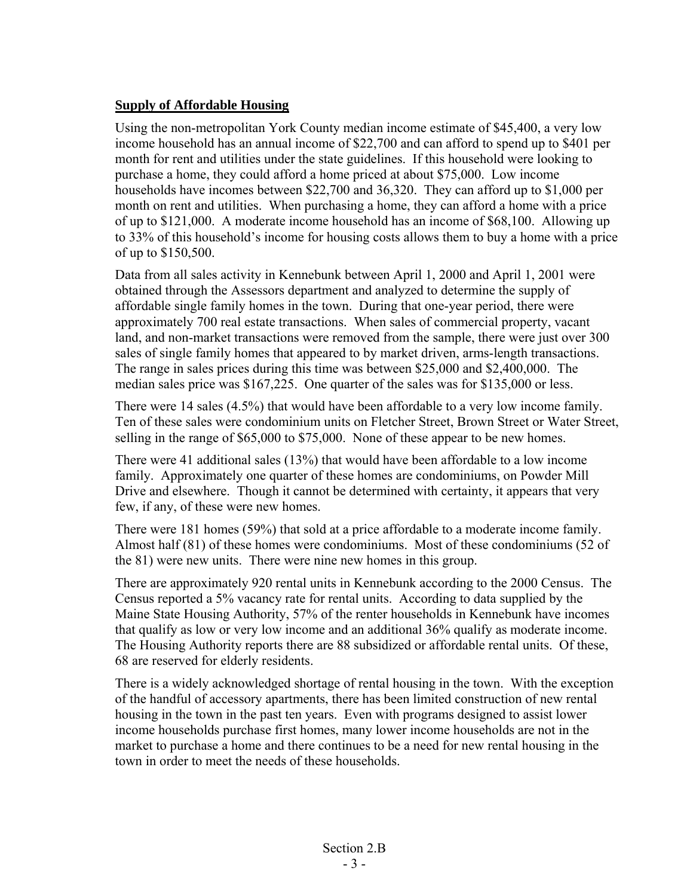#### **Supply of Affordable Housing**

Using the non-metropolitan York County median income estimate of \$45,400, a very low income household has an annual income of \$22,700 and can afford to spend up to \$401 per month for rent and utilities under the state guidelines. If this household were looking to purchase a home, they could afford a home priced at about \$75,000. Low income households have incomes between \$22,700 and 36,320. They can afford up to \$1,000 per month on rent and utilities. When purchasing a home, they can afford a home with a price of up to \$121,000. A moderate income household has an income of \$68,100. Allowing up to 33% of this household's income for housing costs allows them to buy a home with a price of up to \$150,500.

Data from all sales activity in Kennebunk between April 1, 2000 and April 1, 2001 were obtained through the Assessors department and analyzed to determine the supply of affordable single family homes in the town. During that one-year period, there were approximately 700 real estate transactions. When sales of commercial property, vacant land, and non-market transactions were removed from the sample, there were just over 300 sales of single family homes that appeared to by market driven, arms-length transactions. The range in sales prices during this time was between \$25,000 and \$2,400,000. The median sales price was \$167,225. One quarter of the sales was for \$135,000 or less.

There were 14 sales (4.5%) that would have been affordable to a very low income family. Ten of these sales were condominium units on Fletcher Street, Brown Street or Water Street, selling in the range of \$65,000 to \$75,000. None of these appear to be new homes.

There were 41 additional sales (13%) that would have been affordable to a low income family. Approximately one quarter of these homes are condominiums, on Powder Mill Drive and elsewhere. Though it cannot be determined with certainty, it appears that very few, if any, of these were new homes.

There were 181 homes (59%) that sold at a price affordable to a moderate income family. Almost half (81) of these homes were condominiums. Most of these condominiums (52 of the 81) were new units. There were nine new homes in this group.

There are approximately 920 rental units in Kennebunk according to the 2000 Census. The Census reported a 5% vacancy rate for rental units. According to data supplied by the Maine State Housing Authority, 57% of the renter households in Kennebunk have incomes that qualify as low or very low income and an additional 36% qualify as moderate income. The Housing Authority reports there are 88 subsidized or affordable rental units. Of these, 68 are reserved for elderly residents.

There is a widely acknowledged shortage of rental housing in the town. With the exception of the handful of accessory apartments, there has been limited construction of new rental housing in the town in the past ten years. Even with programs designed to assist lower income households purchase first homes, many lower income households are not in the market to purchase a home and there continues to be a need for new rental housing in the town in order to meet the needs of these households.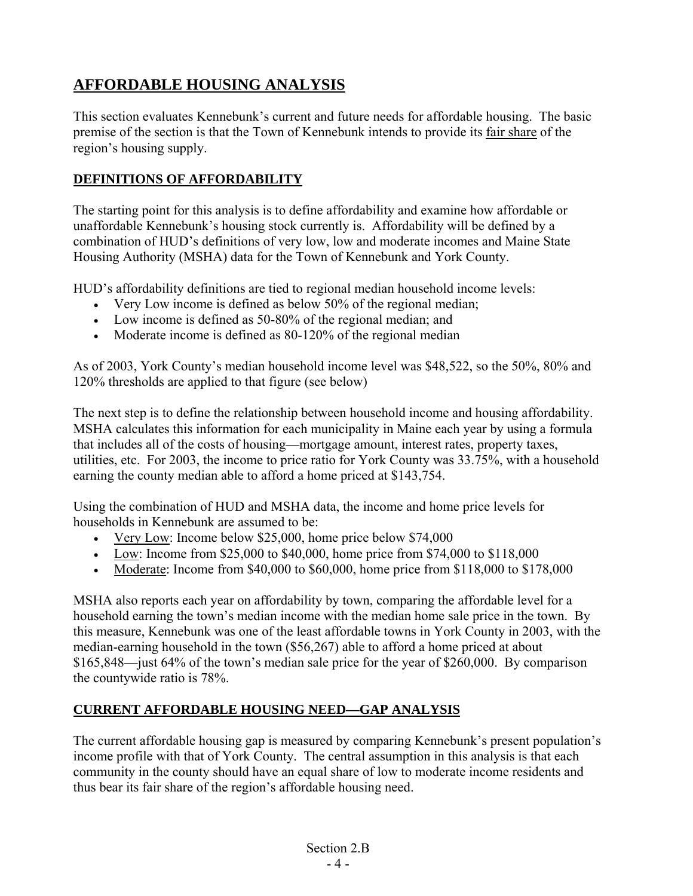## **AFFORDABLE HOUSING ANALYSIS**

This section evaluates Kennebunk's current and future needs for affordable housing. The basic premise of the section is that the Town of Kennebunk intends to provide its fair share of the region's housing supply.

## **DEFINITIONS OF AFFORDABILITY**

The starting point for this analysis is to define affordability and examine how affordable or unaffordable Kennebunk's housing stock currently is. Affordability will be defined by a combination of HUD's definitions of very low, low and moderate incomes and Maine State Housing Authority (MSHA) data for the Town of Kennebunk and York County.

HUD's affordability definitions are tied to regional median household income levels:

- Very Low income is defined as below 50% of the regional median;
- Low income is defined as 50-80% of the regional median; and
- Moderate income is defined as 80-120% of the regional median

As of 2003, York County's median household income level was \$48,522, so the 50%, 80% and 120% thresholds are applied to that figure (see below)

The next step is to define the relationship between household income and housing affordability. MSHA calculates this information for each municipality in Maine each year by using a formula that includes all of the costs of housing—mortgage amount, interest rates, property taxes, utilities, etc. For 2003, the income to price ratio for York County was 33.75%, with a household earning the county median able to afford a home priced at \$143,754.

Using the combination of HUD and MSHA data, the income and home price levels for households in Kennebunk are assumed to be:

- Very Low: Income below \$25,000, home price below \$74,000
- Low: Income from \$25,000 to \$40,000, home price from \$74,000 to \$118,000
- Moderate: Income from  $$40,000$  to  $$60,000$ , home price from  $$118,000$  to  $$178,000$

MSHA also reports each year on affordability by town, comparing the affordable level for a household earning the town's median income with the median home sale price in the town. By this measure, Kennebunk was one of the least affordable towns in York County in 2003, with the median-earning household in the town (\$56,267) able to afford a home priced at about \$165,848—just 64% of the town's median sale price for the year of \$260,000. By comparison the countywide ratio is 78%.

## **CURRENT AFFORDABLE HOUSING NEED—GAP ANALYSIS**

The current affordable housing gap is measured by comparing Kennebunk's present population's income profile with that of York County. The central assumption in this analysis is that each community in the county should have an equal share of low to moderate income residents and thus bear its fair share of the region's affordable housing need.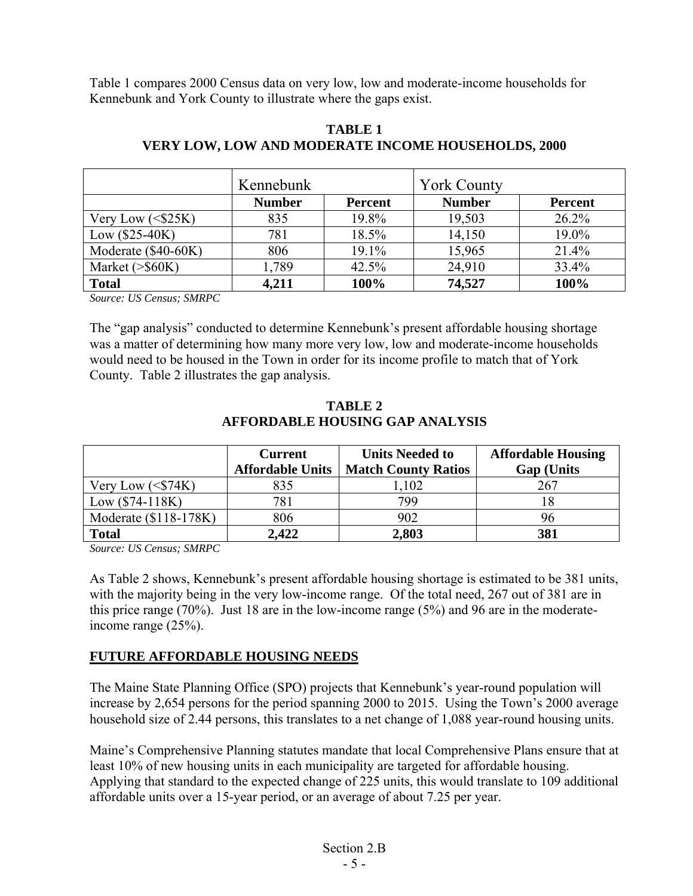Table 1 compares 2000 Census data on very low, low and moderate-income households for Kennebunk and York County to illustrate where the gaps exist.

|                      | Kennebunk     |                | <b>York County</b> |                |
|----------------------|---------------|----------------|--------------------|----------------|
|                      | <b>Number</b> | <b>Percent</b> | <b>Number</b>      | <b>Percent</b> |
| Very Low $($25K)$    | 835           | 19.8%          | 19,503             | 26.2%          |
| $Low ($25-40K)$      | 781           | 18.5%          | 14,150             | 19.0%          |
| Moderate (\$40-60K)  | 806           | 19.1%          | 15,965             | 21.4%          |
| Market $(>\,$ \$60K) | 1,789         | 42.5%          | 24,910             | 33.4%          |
| <b>Total</b>         | 4,211         | 100%           | 74,527             | 100%           |

#### **TABLE 1 VERY LOW, LOW AND MODERATE INCOME HOUSEHOLDS, 2000**

*Source: US Census; SMRPC* 

The "gap analysis" conducted to determine Kennebunk's present affordable housing shortage was a matter of determining how many more very low, low and moderate-income households would need to be housed in the Town in order for its income profile to match that of York County. Table 2 illustrates the gap analysis.

|                       | <b>Current</b><br><b>Affordable Units</b> | <b>Units Needed to</b><br><b>Match County Ratios</b> | <b>Affordable Housing</b><br><b>Gap (Units)</b> |  |
|-----------------------|-------------------------------------------|------------------------------------------------------|-------------------------------------------------|--|
| Very Low $(S74K)$     | 835                                       | ,102                                                 | 267                                             |  |
| $Low ($74-118K)$      | 781                                       | 799                                                  |                                                 |  |
| Moderate (\$118-178K) | 806                                       | 902                                                  | 96                                              |  |
| <b>Total</b>          | 2,422                                     | 2,803                                                | 381                                             |  |

**TABLE 2 AFFORDABLE HOUSING GAP ANALYSIS**

*Source: US Census; SMRPC* 

As Table 2 shows, Kennebunk's present affordable housing shortage is estimated to be 381 units, with the majority being in the very low-income range. Of the total need, 267 out of 381 are in this price range (70%). Just 18 are in the low-income range (5%) and 96 are in the moderateincome range (25%).

## **FUTURE AFFORDABLE HOUSING NEEDS**

The Maine State Planning Office (SPO) projects that Kennebunk's year-round population will increase by 2,654 persons for the period spanning 2000 to 2015. Using the Town's 2000 average household size of 2.44 persons, this translates to a net change of 1,088 year-round housing units.

Maine's Comprehensive Planning statutes mandate that local Comprehensive Plans ensure that at least 10% of new housing units in each municipality are targeted for affordable housing. Applying that standard to the expected change of 225 units, this would translate to 109 additional affordable units over a 15-year period, or an average of about 7.25 per year.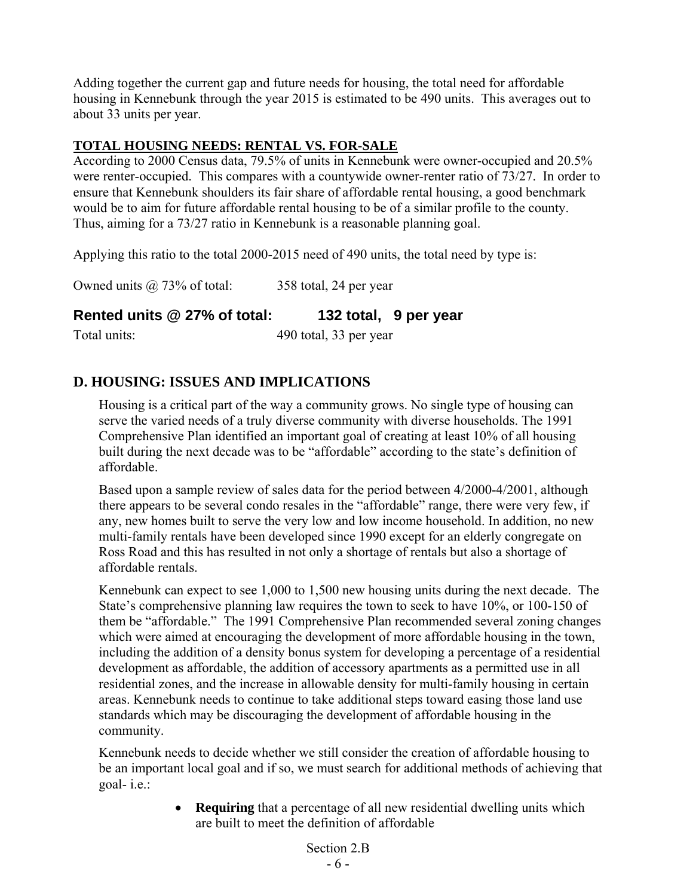Adding together the current gap and future needs for housing, the total need for affordable housing in Kennebunk through the year 2015 is estimated to be 490 units. This averages out to about 33 units per year.

### **TOTAL HOUSING NEEDS: RENTAL VS. FOR-SALE**

According to 2000 Census data, 79.5% of units in Kennebunk were owner-occupied and 20.5% were renter-occupied. This compares with a countywide owner-renter ratio of 73/27. In order to ensure that Kennebunk shoulders its fair share of affordable rental housing, a good benchmark would be to aim for future affordable rental housing to be of a similar profile to the county. Thus, aiming for a 73/27 ratio in Kennebunk is a reasonable planning goal.

Applying this ratio to the total 2000-2015 need of 490 units, the total need by type is:

Owned units @ 73% of total: 358 total, 24 per year

**Rented units @ 27% of total: 132 total, 9 per year** 

Total units: 490 total, 33 per year

## **D. HOUSING: ISSUES AND IMPLICATIONS**

Housing is a critical part of the way a community grows. No single type of housing can serve the varied needs of a truly diverse community with diverse households. The 1991 Comprehensive Plan identified an important goal of creating at least 10% of all housing built during the next decade was to be "affordable" according to the state's definition of affordable.

Based upon a sample review of sales data for the period between 4/2000-4/2001, although there appears to be several condo resales in the "affordable" range, there were very few, if any, new homes built to serve the very low and low income household. In addition, no new multi-family rentals have been developed since 1990 except for an elderly congregate on Ross Road and this has resulted in not only a shortage of rentals but also a shortage of affordable rentals.

Kennebunk can expect to see 1,000 to 1,500 new housing units during the next decade. The State's comprehensive planning law requires the town to seek to have 10%, or 100-150 of them be "affordable." The 1991 Comprehensive Plan recommended several zoning changes which were aimed at encouraging the development of more affordable housing in the town, including the addition of a density bonus system for developing a percentage of a residential development as affordable, the addition of accessory apartments as a permitted use in all residential zones, and the increase in allowable density for multi-family housing in certain areas. Kennebunk needs to continue to take additional steps toward easing those land use standards which may be discouraging the development of affordable housing in the community.

Kennebunk needs to decide whether we still consider the creation of affordable housing to be an important local goal and if so, we must search for additional methods of achieving that goal- i.e.:

> • **Requiring** that a percentage of all new residential dwelling units which are built to meet the definition of affordable